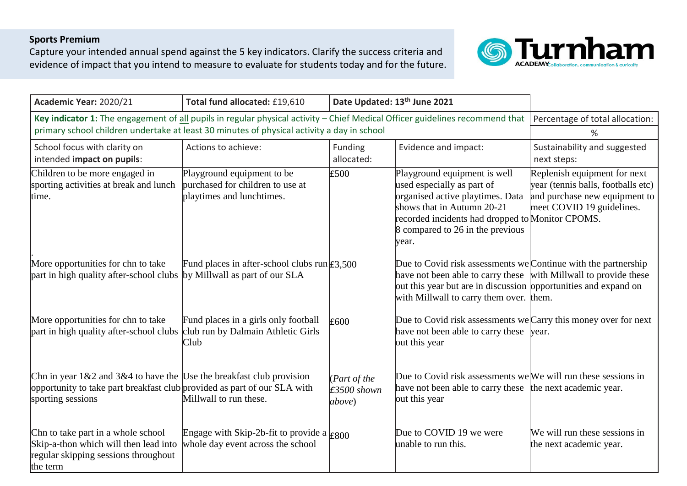## **Sports Premium**

Capture your intended annual spend against the 5 key indicators. Clarify the success criteria and evidence of impact that you intend to measure to evaluate for students today and for the future.



| Academic Year: 2020/21                                                                                                                                                                                                     | Total fund allocated: £19,610                                                               | Date Updated: 13th June 2021                    |                                                                                                                                                                                                                                                  |                                                                                                                                  |
|----------------------------------------------------------------------------------------------------------------------------------------------------------------------------------------------------------------------------|---------------------------------------------------------------------------------------------|-------------------------------------------------|--------------------------------------------------------------------------------------------------------------------------------------------------------------------------------------------------------------------------------------------------|----------------------------------------------------------------------------------------------------------------------------------|
| Key indicator 1: The engagement of all pupils in regular physical activity - Chief Medical Officer guidelines recommend that<br>primary school children undertake at least 30 minutes of physical activity a day in school | Percentage of total allocation:<br>%                                                        |                                                 |                                                                                                                                                                                                                                                  |                                                                                                                                  |
| School focus with clarity on<br>intended impact on pupils:                                                                                                                                                                 | Actions to achieve:                                                                         | Funding<br>allocated:                           | Evidence and impact:                                                                                                                                                                                                                             | Sustainability and suggested<br>next steps:                                                                                      |
| Children to be more engaged in<br>sporting activities at break and lunch<br>time.                                                                                                                                          | Playground equipment to be<br>purchased for children to use at<br>playtimes and lunchtimes. | £500                                            | Playground equipment is well<br>used especially as part of<br>organised active playtimes. Data<br>shows that in Autumn 20-21<br>recorded incidents had dropped to Monitor CPOMS.<br>8 compared to 26 in the previous<br>year.                    | Replenish equipment for next<br>year (tennis balls, footballs etc)<br>and purchase new equipment to<br>meet COVID 19 guidelines. |
| More opportunities for chn to take<br>part in high quality after-school clubs by Millwall as part of our SLA                                                                                                               | Fund places in after-school clubs $run \textsf{E}3,500$                                     |                                                 | Due to Covid risk assessments we Continue with the partnership<br>have not been able to carry these with Millwall to provide these<br>out this year but are in discussion opportunities and expand on<br>with Millwall to carry them over. them. |                                                                                                                                  |
| More opportunities for chn to take<br>part in high quality after-school clubs                                                                                                                                              | Fund places in a girls only football<br>club run by Dalmain Athletic Girls<br>Club          | E600                                            | Due to Covid risk assessments we Carry this money over for next<br>have not been able to carry these year.<br>out this year                                                                                                                      |                                                                                                                                  |
| Chn in year $1\&2$ and $3\&4$ to have the Use the breakfast club provision<br>opportunity to take part breakfast club provided as part of our SLA with<br>sporting sessions                                                | Millwall to run these.                                                                      | (Part of the<br>$£3500$ shown<br><i>above</i> ) | Due to Covid risk assessments we We will run these sessions in<br>have not been able to carry these the next academic year.<br>out this year                                                                                                     |                                                                                                                                  |
| Chn to take part in a whole school<br>Skip-a-thon which will then lead into<br>regular skipping sessions throughout<br>the term                                                                                            | Engage with Skip-2b-fit to provide a $\epsilon_{800}$<br>whole day event across the school  |                                                 | Due to COVID 19 we were<br>unable to run this.                                                                                                                                                                                                   | We will run these sessions in<br>the next academic year.                                                                         |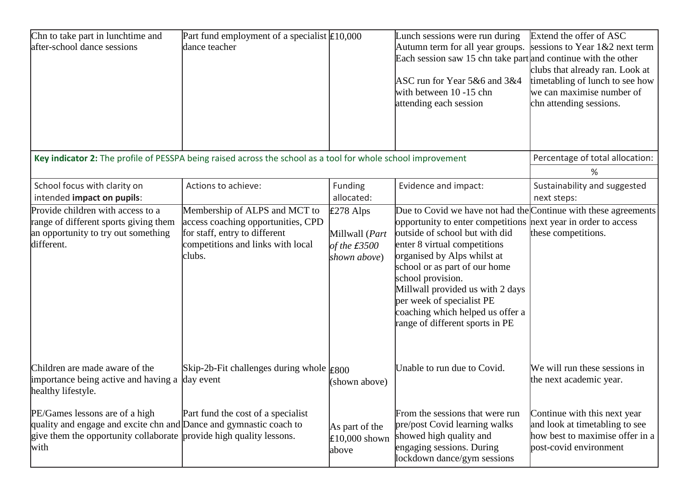| Chn to take part in lunchtime and<br>after-school dance sessions                                                                                                                    | Part fund employment of a specialist $\text{\pounds}10,000$<br>dance teacher                                                                        |                                                                 | Lunch sessions were run during<br>Autumn term for all year groups.<br>Each session saw 15 chn take part and continue with the other<br>ASC run for Year 5&6 and 3&4<br>with between 10 -15 chn<br>attending each session                                                                                                                                                                                                         | Extend the offer of ASC<br>sessions to Year 1&2 next term<br>clubs that already ran. Look at<br>timetabling of lunch to see how<br>we can maximise number of<br>chn attending sessions. |
|-------------------------------------------------------------------------------------------------------------------------------------------------------------------------------------|-----------------------------------------------------------------------------------------------------------------------------------------------------|-----------------------------------------------------------------|----------------------------------------------------------------------------------------------------------------------------------------------------------------------------------------------------------------------------------------------------------------------------------------------------------------------------------------------------------------------------------------------------------------------------------|-----------------------------------------------------------------------------------------------------------------------------------------------------------------------------------------|
|                                                                                                                                                                                     | Key indicator 2: The profile of PESSPA being raised across the school as a tool for whole school improvement                                        |                                                                 |                                                                                                                                                                                                                                                                                                                                                                                                                                  | Percentage of total allocation:                                                                                                                                                         |
|                                                                                                                                                                                     |                                                                                                                                                     |                                                                 |                                                                                                                                                                                                                                                                                                                                                                                                                                  | %                                                                                                                                                                                       |
| School focus with clarity on<br>intended impact on pupils:                                                                                                                          | Actions to achieve:                                                                                                                                 | Funding<br>allocated:                                           | Evidence and impact:                                                                                                                                                                                                                                                                                                                                                                                                             | Sustainability and suggested<br>next steps:                                                                                                                                             |
| Provide children with access to a<br>range of different sports giving them<br>an opportunity to try out something<br>different.                                                     | Membership of ALPS and MCT to<br>access coaching opportunities, CPD<br>for staff, entry to different<br>competitions and links with local<br>clubs. | $E278$ Alps<br>Millwall (Part<br>of the $£3500$<br>shown above) | Due to Covid we have not had the Continue with these agreements<br>opportunity to enter competitions next year in order to access<br>outside of school but with did<br>enter 8 virtual competitions<br>organised by Alps whilst at<br>school or as part of our home<br>school provision.<br>Millwall provided us with 2 days<br>per week of specialist PE<br>coaching which helped us offer a<br>range of different sports in PE | these competitions.                                                                                                                                                                     |
| Children are made aware of the<br>importance being active and having a<br>healthy lifestyle.                                                                                        | Skip-2b-Fit challenges during whole $\text{\pounds}800$<br>day event                                                                                | (shown above)                                                   | Unable to run due to Covid.                                                                                                                                                                                                                                                                                                                                                                                                      | We will run these sessions in<br>the next academic year.                                                                                                                                |
| PE/Games lessons are of a high<br>quality and engage and excite chn and Dance and gymnastic coach to<br>give them the opportunity collaborate provide high quality lessons.<br>with | Part fund the cost of a specialist                                                                                                                  | As part of the<br>£10,000 shown<br>above                        | From the sessions that were run<br>pre/post Covid learning walks<br>showed high quality and<br>engaging sessions. During<br>lockdown dance/gym sessions                                                                                                                                                                                                                                                                          | Continue with this next year<br>and look at timetabling to see<br>how best to maximise offer in a<br>post-covid environment                                                             |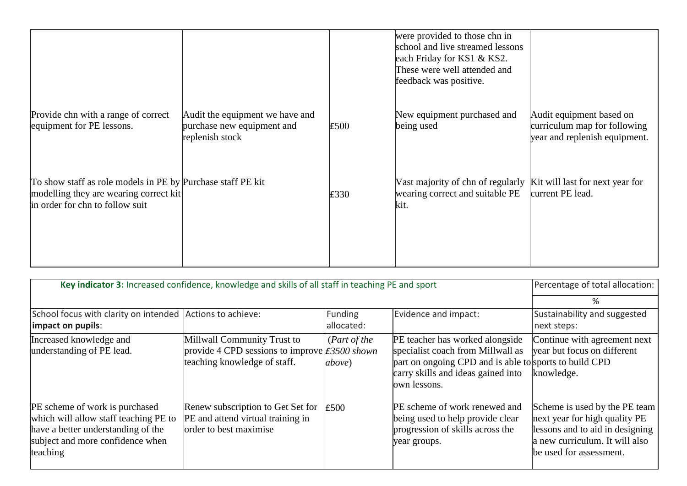|                                                                                                                                          |                                                                                  |      | were provided to those chn in<br>school and live streamed lessons<br>each Friday for KS1 & KS2.<br>These were well attended and<br>feedback was positive. |                                                                                           |
|------------------------------------------------------------------------------------------------------------------------------------------|----------------------------------------------------------------------------------|------|-----------------------------------------------------------------------------------------------------------------------------------------------------------|-------------------------------------------------------------------------------------------|
| Provide chn with a range of correct<br>equipment for PE lessons.                                                                         | Audit the equipment we have and<br>purchase new equipment and<br>replenish stock | £500 | New equipment purchased and<br>being used                                                                                                                 | Audit equipment based on<br>curriculum map for following<br>year and replenish equipment. |
| To show staff as role models in PE by Purchase staff PE kit<br>modelling they are wearing correct kit<br>in order for chn to follow suit |                                                                                  | E330 | Vast majority of chn of regularly Kit will last for next year for<br>wearing correct and suitable PE<br>kit.                                              | current PE lead.                                                                          |

| Key indicator 3: Increased confidence, knowledge and skills of all staff in teaching PE and sport                                                                    |                                                                                                                                   |                                |                                                                                                                                                                                      | Percentage of total allocation:                                                                                                                                |
|----------------------------------------------------------------------------------------------------------------------------------------------------------------------|-----------------------------------------------------------------------------------------------------------------------------------|--------------------------------|--------------------------------------------------------------------------------------------------------------------------------------------------------------------------------------|----------------------------------------------------------------------------------------------------------------------------------------------------------------|
|                                                                                                                                                                      |                                                                                                                                   |                                |                                                                                                                                                                                      | ℅                                                                                                                                                              |
| School focus with clarity on intended Actions to achieve:<br>impact on pupils:                                                                                       |                                                                                                                                   | Funding<br>allocated:          | Evidence and impact:                                                                                                                                                                 | Sustainability and suggested<br>next steps:                                                                                                                    |
| Increased knowledge and<br>understanding of PE lead.                                                                                                                 | Millwall Community Trust to<br>provide 4 CPD sessions to improve $\text{\textsterling}3500$ shown<br>teaching knowledge of staff. | (Part of the<br><i>above</i> ) | PE teacher has worked alongside<br>specialist coach from Millwall as<br>part on ongoing CPD and is able to sports to build CPD<br>carry skills and ideas gained into<br>own lessons. | Continue with agreement next<br>vear but focus on different<br>knowledge.                                                                                      |
| <b>PE</b> scheme of work is purchased<br>which will allow staff teaching PE to<br>have a better understanding of the<br>subject and more confidence when<br>teaching | Renew subscription to Get Set for<br>PE and attend virtual training in<br>order to best maximise                                  | £500                           | PE scheme of work renewed and<br>being used to help provide clear<br>progression of skills across the<br>year groups.                                                                | Scheme is used by the PE team<br>next year for high quality PE<br>lessons and to aid in designing<br>a new curriculum. It will also<br>be used for assessment. |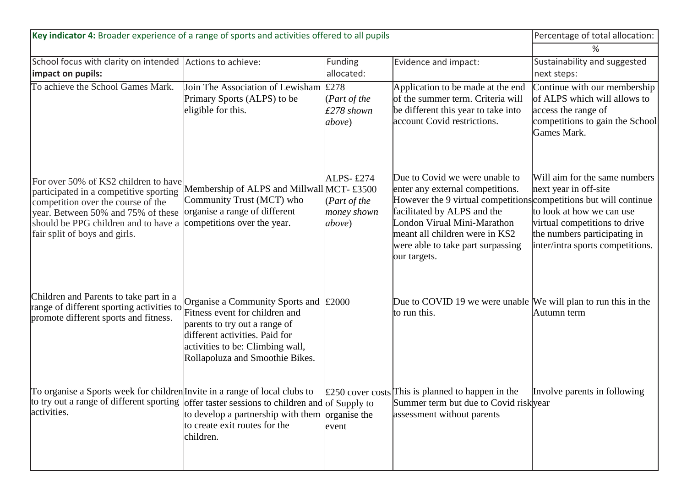| Key indicator 4: Broader experience of a range of sports and activities offered to all pupils                                                                                                                                                                               | Percentage of total allocation:                                                                                                                                                                                                  |                                                                       |                                                                                                                                                                                                                                                                                              |                                                                                                                                                                                          |
|-----------------------------------------------------------------------------------------------------------------------------------------------------------------------------------------------------------------------------------------------------------------------------|----------------------------------------------------------------------------------------------------------------------------------------------------------------------------------------------------------------------------------|-----------------------------------------------------------------------|----------------------------------------------------------------------------------------------------------------------------------------------------------------------------------------------------------------------------------------------------------------------------------------------|------------------------------------------------------------------------------------------------------------------------------------------------------------------------------------------|
|                                                                                                                                                                                                                                                                             |                                                                                                                                                                                                                                  |                                                                       | %                                                                                                                                                                                                                                                                                            |                                                                                                                                                                                          |
| School focus with clarity on intended Actions to achieve:<br>impact on pupils:                                                                                                                                                                                              |                                                                                                                                                                                                                                  | <b>Funding</b><br>allocated:                                          | Evidence and impact:                                                                                                                                                                                                                                                                         | Sustainability and suggested<br>next steps:                                                                                                                                              |
| To achieve the School Games Mark.                                                                                                                                                                                                                                           | Join The Association of Lewisham<br>Primary Sports (ALPS) to be<br>eligible for this.                                                                                                                                            | £278<br>( <i>Part of the</i><br>$£278$ shown<br><i>above</i> )        | Application to be made at the end<br>of the summer term. Criteria will<br>be different this year to take into<br>account Covid restrictions.                                                                                                                                                 | Continue with our membership<br>of ALPS which will allows to<br>access the range of<br>competitions to gain the School<br>Games Mark.                                                    |
| For over 50% of KS2 children to have<br>participated in a competitive sporting<br>competition over the course of the<br>year. Between 50% and 75% of these<br>should be PPG children and to have a<br>fair split of boys and girls.                                         | Membership of ALPS and Millwall MCT-£3500<br>Community Trust (MCT) who<br>organise a range of different<br>competitions over the year.                                                                                           | ALPS- $£274$<br>( <i>Part of the</i><br>money shown<br><i>above</i> ) | Due to Covid we were unable to<br>enter any external competitions.<br>However the 9 virtual competitions competitions but will continue<br>facilitated by ALPS and the<br>London Virual Mini-Marathon<br>meant all children were in KS2<br>were able to take part surpassing<br>our targets. | Will aim for the same numbers<br>next year in off-site<br>to look at how we can use<br>virtual competitions to drive<br>the numbers participating in<br>inter/intra sports competitions. |
| Children and Parents to take part in a<br>range of different sporting activities to<br>promote different sports and fitness.                                                                                                                                                | Organise a Community Sports and $\text{\pounds}2000$<br>Fitness event for children and<br>parents to try out a range of<br>different activities. Paid for<br>activities to be: Climbing wall,<br>Rollapoluza and Smoothie Bikes. |                                                                       | Due to COVID 19 we were unable We will plan to run this in the<br>to run this.                                                                                                                                                                                                               | Autumn term                                                                                                                                                                              |
| To organise a Sports week for children Invite in a range of local clubs to $\&$ 250 cover costs This is planned to happen in the Involve parents in following<br>to try out a range of different sporting offer taster sessions to children and of Supply to<br>activities. | to develop a partnership with them $loganise$ the<br>to create exit routes for the<br>children.                                                                                                                                  | event                                                                 | Summer term but due to Covid risk year<br>assessment without parents                                                                                                                                                                                                                         |                                                                                                                                                                                          |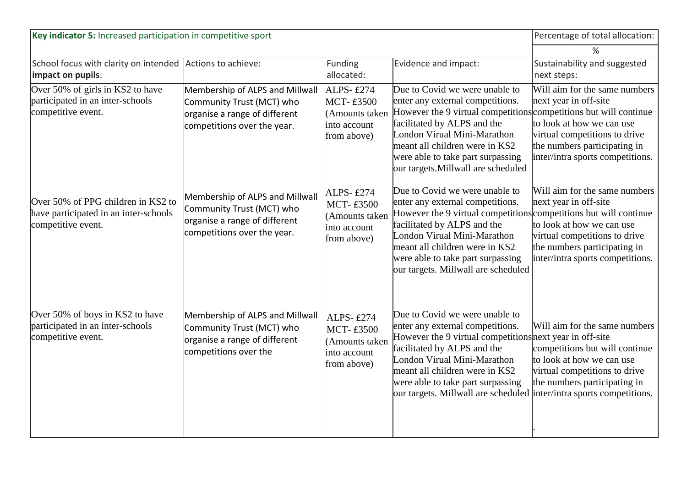| Key indicator 5: Increased participation in competitive sport                                     | Percentage of total allocation:                                                                                              |                                                                                       |                                                                                                                                                                                                                                                                                                                                             |                                                                                                                                                                                          |
|---------------------------------------------------------------------------------------------------|------------------------------------------------------------------------------------------------------------------------------|---------------------------------------------------------------------------------------|---------------------------------------------------------------------------------------------------------------------------------------------------------------------------------------------------------------------------------------------------------------------------------------------------------------------------------------------|------------------------------------------------------------------------------------------------------------------------------------------------------------------------------------------|
|                                                                                                   |                                                                                                                              |                                                                                       |                                                                                                                                                                                                                                                                                                                                             | $\frac{0}{0}$                                                                                                                                                                            |
| School focus with clarity on intended<br>impact on pupils:                                        | Actions to achieve:                                                                                                          | Funding<br>allocated:                                                                 | Evidence and impact:                                                                                                                                                                                                                                                                                                                        | Sustainability and suggested<br>next steps:                                                                                                                                              |
| Over 50% of girls in KS2 to have<br>participated in an inter-schools<br>competitive event.        | Membership of ALPS and Millwall<br>Community Trust (MCT) who<br>organise a range of different<br>competitions over the year. | ALPS-£274<br><b>MCT-£3500</b><br>(Amounts taken<br>into account<br>from above)        | Due to Covid we were unable to<br>enter any external competitions.<br>However the 9 virtual competitions competitions but will continue<br>facilitated by ALPS and the<br>London Virual Mini-Marathon<br>meant all children were in KS2<br>were able to take part surpassing<br>our targets. Millwall are scheduled                         | Will aim for the same numbers<br>next year in off-site<br>to look at how we can use<br>virtual competitions to drive<br>the numbers participating in<br>inter/intra sports competitions. |
| Over 50% of PPG children in KS2 to<br>have participated in an inter-schools<br>competitive event. | Membership of ALPS and Millwall<br>Community Trust (MCT) who<br>organise a range of different<br>competitions over the year. | <b>ALPS-£274</b><br><b>MCT-£3500</b><br>Amounts taken<br>into account<br>from above)  | Due to Covid we were unable to<br>enter any external competitions.<br>However the 9 virtual competitions competitions but will continue<br>facilitated by ALPS and the<br>London Virual Mini-Marathon<br>meant all children were in KS2<br>were able to take part surpassing<br>our targets. Millwall are scheduled                         | Will aim for the same numbers<br>next year in off-site<br>to look at how we can use<br>virtual competitions to drive<br>the numbers participating in<br>inter/intra sports competitions. |
| Over 50% of boys in KS2 to have<br>participated in an inter-schools<br>competitive event.         | Membership of ALPS and Millwall<br>Community Trust (MCT) who<br>organise a range of different<br>competitions over the       | <b>ALPS-£274</b><br><b>MCT-£3500</b><br>(Amounts taken<br>into account<br>from above) | Due to Covid we were unable to<br>enter any external competitions.<br>However the 9 virtual competitions next year in off-site<br>facilitated by ALPS and the<br>London Virual Mini-Marathon<br>meant all children were in KS2<br>were able to take part surpassing<br>our targets. Millwall are scheduled inter/intra sports competitions. | Will aim for the same numbers<br>competitions but will continue<br>to look at how we can use<br>virtual competitions to drive<br>the numbers participating in                            |